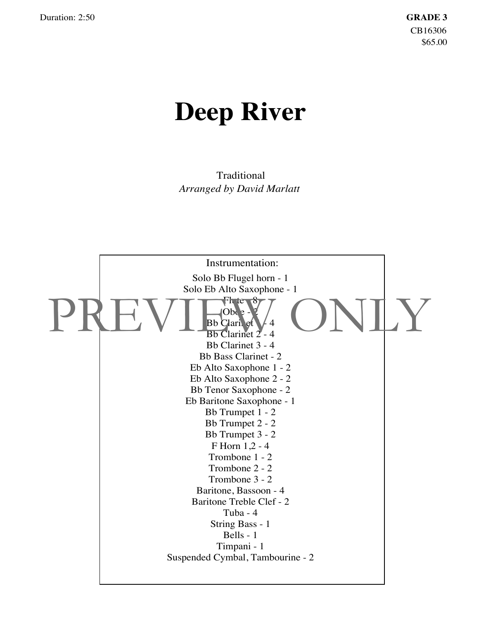## **Deep River**

*Arranged by David Marlatt* Traditional

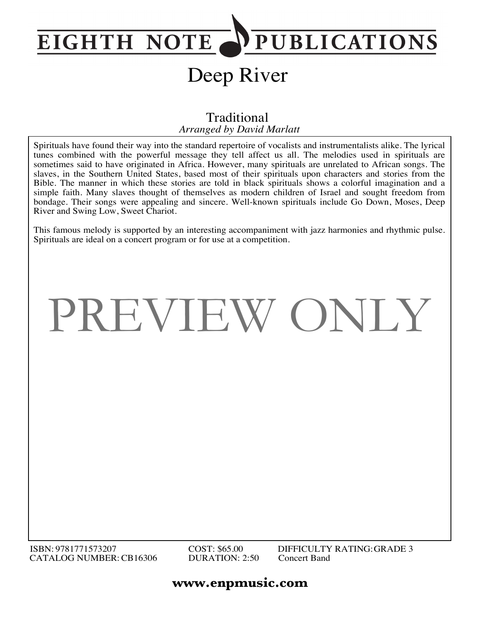

### Deep River

#### *Arranged by David Marlatt* Traditional

Spirituals have found their way into the standard repertoire of vocalists and instrumentalists alike. The lyrical tunes combined with the powerful message they tell affect us all. The melodies used in spirituals are sometimes said to have originated in Africa. However, many spirituals are unrelated to African songs. The slaves, in the Southern United States, based most of their spirituals upon characters and stories from the Bible. The manner in which these stories are told in black spirituals shows a colorful imagination and a simple faith. Many slaves thought of themselves as modern children of Israel and sought freedom from bondage. Their songs were appealing and sincere. Well-known spirituals include Go Down, Moses, Deep River and Swing Low, Sweet Chariot.

This famous melody is supported by an interesting accompaniment with jazz harmonies and rhythmic pulse. Spirituals are ideal on a concert program or for use at a competition.

# PREVIEW ONLY

#### **www.enpmusic.com**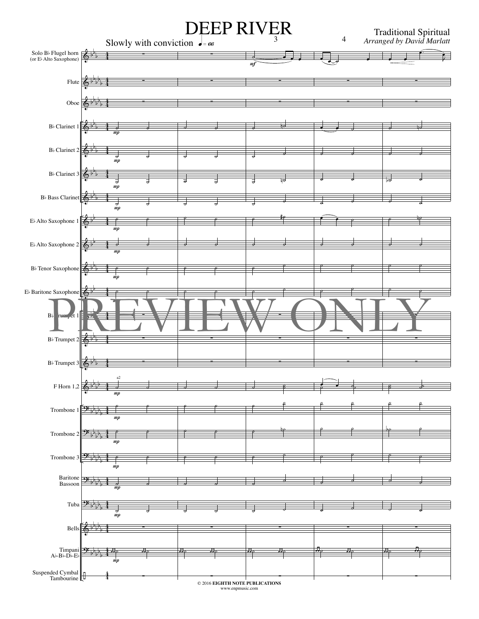

© 2016 **EIGHTH NOTE PUBLICATIONS** www.enpmusic.com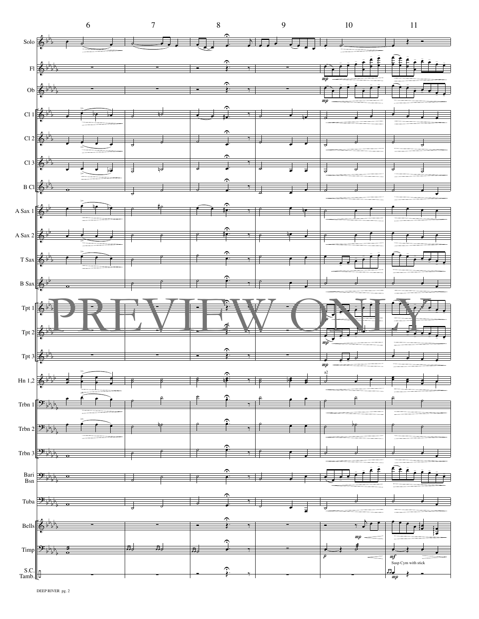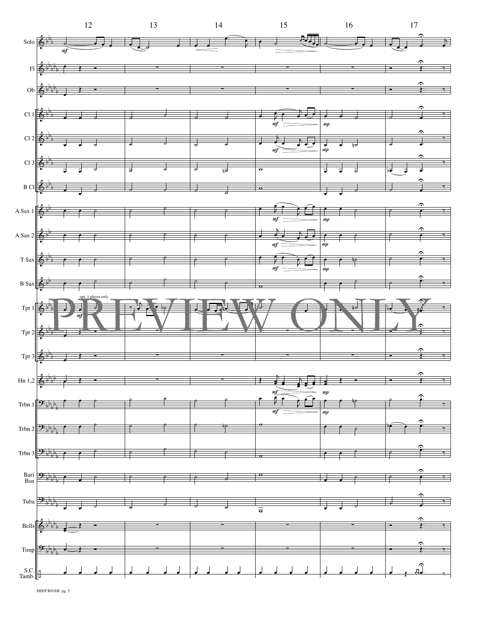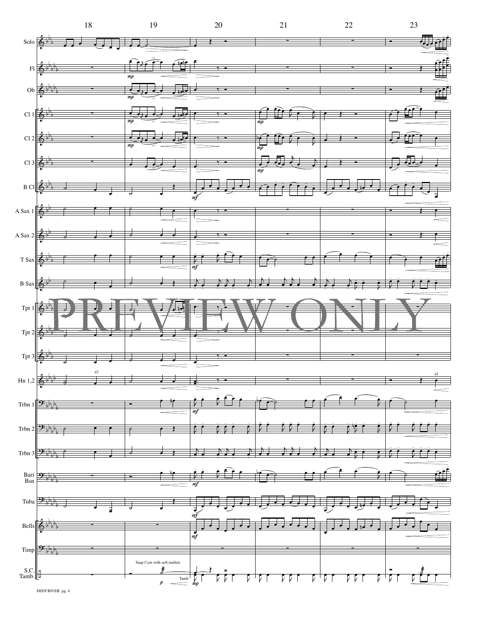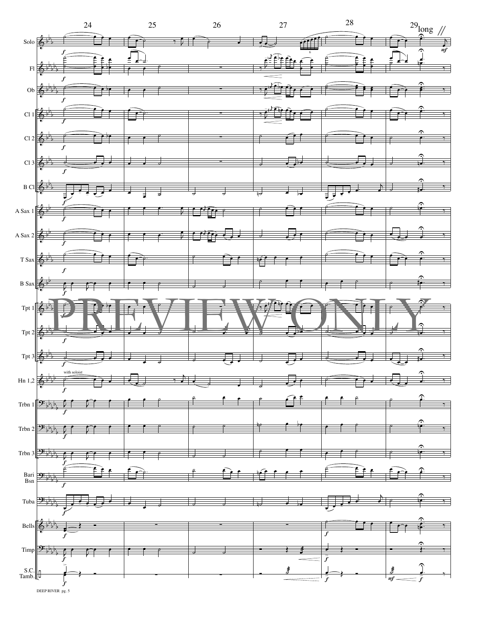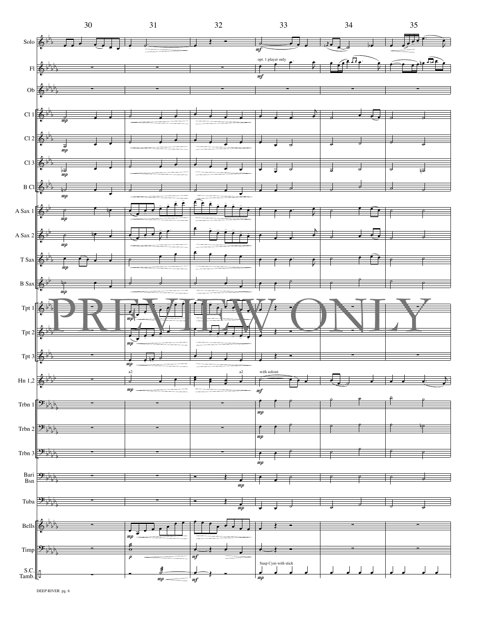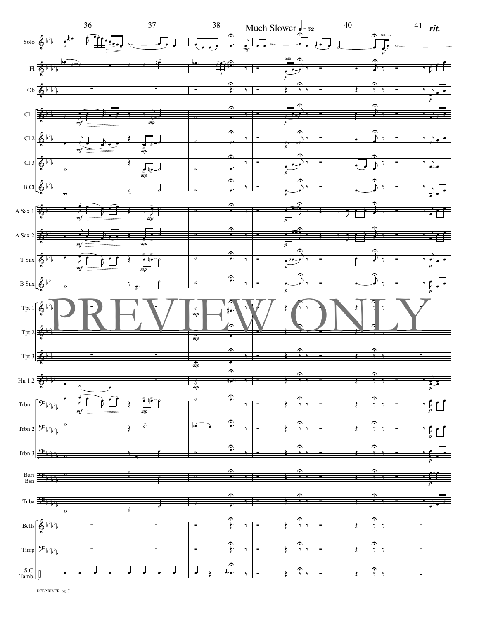